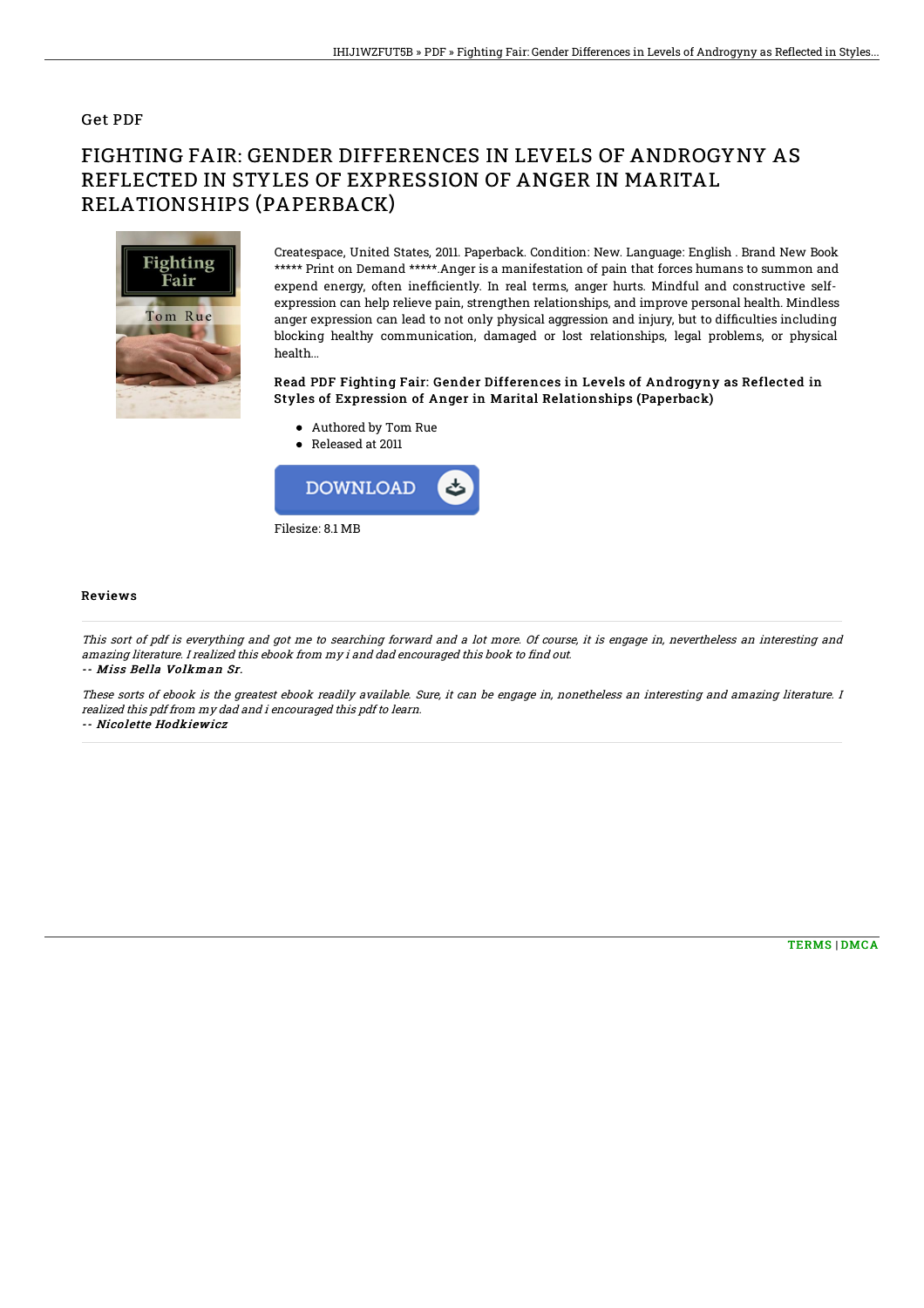### Get PDF

# FIGHTING FAIR: GENDER DIFFERENCES IN LEVELS OF ANDROGYNY AS REFLECTED IN STYLES OF EXPRESSION OF ANGER IN MARITAL RELATIONSHIPS (PAPERBACK)



Createspace, United States, 2011. Paperback. Condition: New. Language: English . Brand New Book \*\*\*\*\* Print on Demand \*\*\*\*\*.Anger is a manifestation of pain that forces humans to summon and expend energy, often inefficiently. In real terms, anger hurts. Mindful and constructive selfexpression can help relieve pain, strengthen relationships, and improve personal health. Mindless anger expression can lead to not only physical aggression and injury, but to difficulties including blocking healthy communication, damaged or lost relationships, legal problems, or physical health...

#### Read PDF Fighting Fair: Gender Differences in Levels of Androgyny as Reflected in Styles of Expression of Anger in Marital Relationships (Paperback)

- Authored by Tom Rue
- Released at 2011



#### **Reviews**

This sort of pdf is everything and got me to searching forward and <sup>a</sup> lot more. Of course, it is engage in, nevertheless an interesting and amazing literature. I realized this ebook from my i and dad encouraged this book to find out. -- Miss Bella Volkman Sr.

These sorts of ebook is the greatest ebook readily available. Sure, it can be engage in, nonetheless an interesting and amazing literature. I realized this pdf from my dad and i encouraged this pdf to learn. -- Nicolette Hodkiewicz